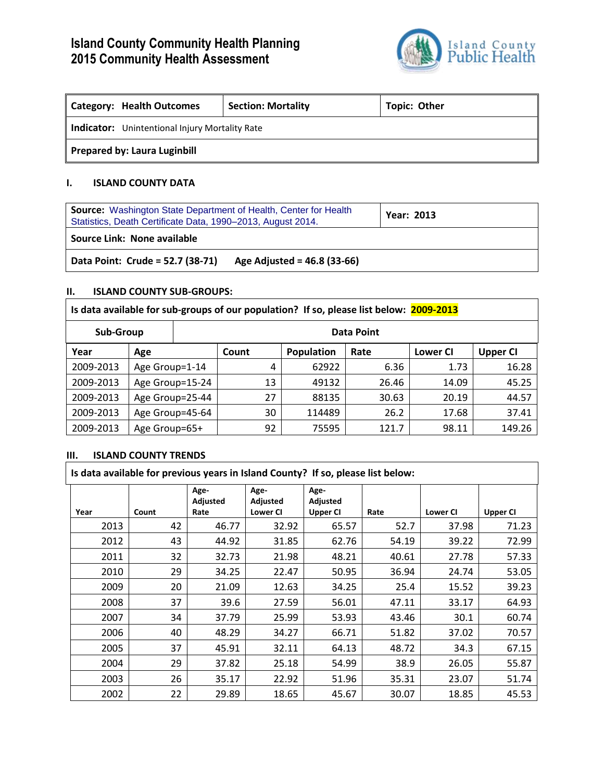# **Island County Community Health Planning 2015 Community Health Assessment**



| <b>Category: Health Outcomes</b>                      | <b>Section: Mortality</b> | <b>Topic: Other</b> |  |  |  |
|-------------------------------------------------------|---------------------------|---------------------|--|--|--|
| <b>Indicator:</b> Unintentional Injury Mortality Rate |                           |                     |  |  |  |
| <b>Prepared by: Laura Luginbill</b>                   |                           |                     |  |  |  |

## **I. ISLAND COUNTY DATA**

| <b>Source:</b> Washington State Department of Health, Center for Health<br>Statistics, Death Certificate Data, 1990-2013, August 2014. | <b>Year: 2013</b> |
|----------------------------------------------------------------------------------------------------------------------------------------|-------------------|
| Source Link: None available                                                                                                            |                   |
| Data Point: Crude = 52.7 (38-71)<br>Age Adjusted = 46.8 (33-66)                                                                        |                   |

# **II. ISLAND COUNTY SUB-GROUPS:**

| Is data available for sub-groups of our population? If so, please list below: 2009-2013 |                 |                 |                   |    |                   |       |                 |                 |  |  |
|-----------------------------------------------------------------------------------------|-----------------|-----------------|-------------------|----|-------------------|-------|-----------------|-----------------|--|--|
| Sub-Group                                                                               |                 |                 | <b>Data Point</b> |    |                   |       |                 |                 |  |  |
| Year                                                                                    | Age             |                 | Count             |    | <b>Population</b> | Rate  | <b>Lower CI</b> | <b>Upper CI</b> |  |  |
| 2009-2013                                                                               | Age Group=1-14  |                 |                   | 4  | 62922             | 6.36  | 1.73            | 16.28           |  |  |
| 2009-2013                                                                               | Age Group=15-24 |                 |                   | 13 | 49132             | 26.46 | 14.09           | 45.25           |  |  |
| 2009-2013                                                                               | Age Group=25-44 |                 |                   | 27 | 88135             | 30.63 | 20.19           | 44.57           |  |  |
| 2009-2013                                                                               |                 | Age Group=45-64 |                   | 30 | 114489            | 26.2  | 17.68           | 37.41           |  |  |
| 2009-2013                                                                               | Age Group=65+   |                 |                   | 92 | 75595             | 121.7 | 98.11           | 149.26          |  |  |

### **III. ISLAND COUNTY TRENDS**

|      | Is data available for previous years in Island County? If so, please list below: |                          |                                     |                                     |       |                 |                 |  |
|------|----------------------------------------------------------------------------------|--------------------------|-------------------------------------|-------------------------------------|-------|-----------------|-----------------|--|
| Year | Count                                                                            | Age-<br>Adjusted<br>Rate | Age-<br>Adjusted<br><b>Lower CI</b> | Age-<br>Adjusted<br><b>Upper CI</b> | Rate  | <b>Lower CI</b> | <b>Upper CI</b> |  |
| 2013 | 42                                                                               | 46.77                    | 32.92                               | 65.57                               | 52.7  | 37.98           | 71.23           |  |
| 2012 | 43                                                                               | 44.92                    | 31.85                               | 62.76                               | 54.19 | 39.22           | 72.99           |  |
| 2011 | 32                                                                               | 32.73                    | 21.98                               | 48.21                               | 40.61 | 27.78           | 57.33           |  |
| 2010 | 29                                                                               | 34.25                    | 22.47                               | 50.95                               | 36.94 | 24.74           | 53.05           |  |
| 2009 | 20                                                                               | 21.09                    | 12.63                               | 34.25                               | 25.4  | 15.52           | 39.23           |  |
| 2008 | 37                                                                               | 39.6                     | 27.59                               | 56.01                               | 47.11 | 33.17           | 64.93           |  |
| 2007 | 34                                                                               | 37.79                    | 25.99                               | 53.93                               | 43.46 | 30.1            | 60.74           |  |
| 2006 | 40                                                                               | 48.29                    | 34.27                               | 66.71                               | 51.82 | 37.02           | 70.57           |  |
| 2005 | 37                                                                               | 45.91                    | 32.11                               | 64.13                               | 48.72 | 34.3            | 67.15           |  |
| 2004 | 29                                                                               | 37.82                    | 25.18                               | 54.99                               | 38.9  | 26.05           | 55.87           |  |
| 2003 | 26                                                                               | 35.17                    | 22.92                               | 51.96                               | 35.31 | 23.07           | 51.74           |  |
| 2002 | 22                                                                               | 29.89                    | 18.65                               | 45.67                               | 30.07 | 18.85           | 45.53           |  |